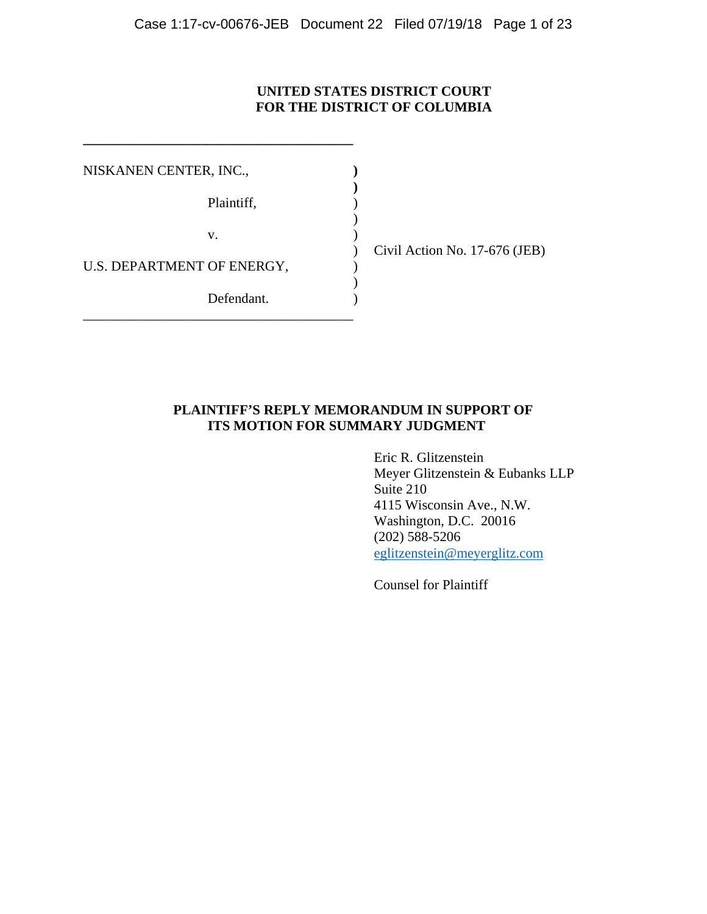## **UNITED STATES DISTRICT COURT FOR THE DISTRICT OF COLUMBIA**

| NISKANEN CENTER, INC.,     |            |  |
|----------------------------|------------|--|
|                            | Plaintiff, |  |
|                            | V.         |  |
| U.S. DEPARTMENT OF ENERGY, |            |  |
|                            | Defendant. |  |

**\_\_\_\_\_\_\_\_\_\_\_\_\_\_\_\_\_\_\_\_\_\_\_\_\_\_\_\_\_\_\_\_\_\_\_\_\_\_\_** 

) Civil Action No. 17-676 (JEB)

## **PLAINTIFF'S REPLY MEMORANDUM IN SUPPORT OF ITS MOTION FOR SUMMARY JUDGMENT**

 Eric R. Glitzenstein Meyer Glitzenstein & Eubanks LLP Suite 210 4115 Wisconsin Ave., N.W. Washington, D.C. 20016 (202) 588-5206 eglitzenstein@meyerglitz.com

Counsel for Plaintiff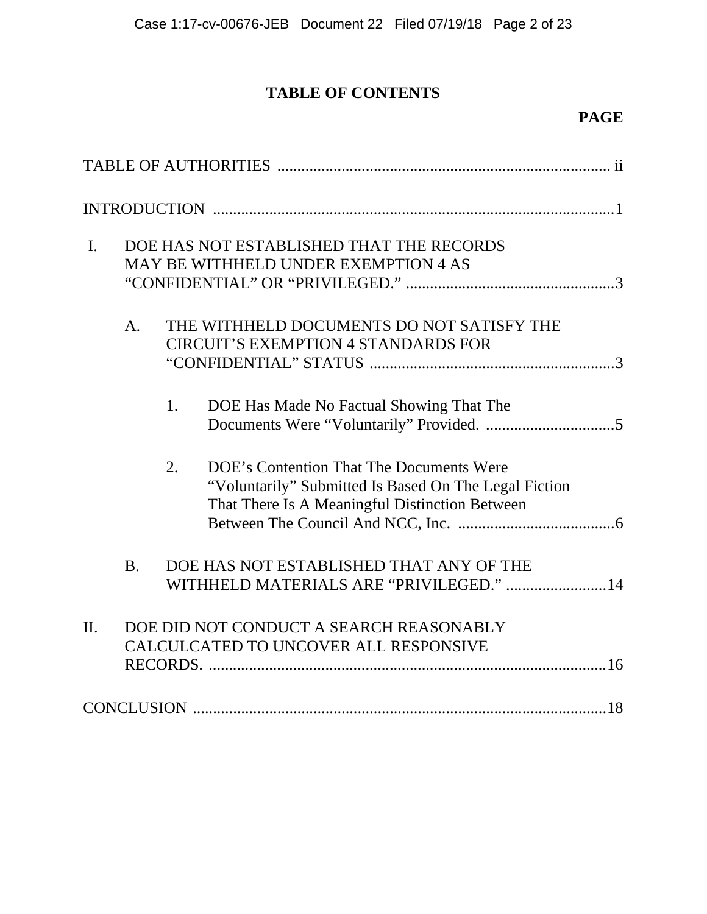# **TABLE OF CONTENTS**

# **PAGE**

| $\mathbf{I}$ . |                | DOE HAS NOT ESTABLISHED THAT THE RECORDS<br>MAY BE WITHHELD UNDER EXEMPTION 4 AS |                                                                                                                                                     |  |
|----------------|----------------|----------------------------------------------------------------------------------|-----------------------------------------------------------------------------------------------------------------------------------------------------|--|
|                | A <sub>1</sub> |                                                                                  | THE WITHHELD DOCUMENTS DO NOT SATISFY THE<br><b>CIRCUIT'S EXEMPTION 4 STANDARDS FOR</b>                                                             |  |
|                |                | 1.                                                                               | DOE Has Made No Factual Showing That The                                                                                                            |  |
|                |                | 2.                                                                               | DOE's Contention That The Documents Were<br>"Voluntarily" Submitted Is Based On The Legal Fiction<br>That There Is A Meaningful Distinction Between |  |
|                | <b>B.</b>      |                                                                                  | DOE HAS NOT ESTABLISHED THAT ANY OF THE<br>WITHHELD MATERIALS ARE "PRIVILEGED."  14                                                                 |  |
| II.            |                |                                                                                  | DOE DID NOT CONDUCT A SEARCH REASONABLY<br>CALCULCATED TO UNCOVER ALL RESPONSIVE                                                                    |  |
|                |                |                                                                                  |                                                                                                                                                     |  |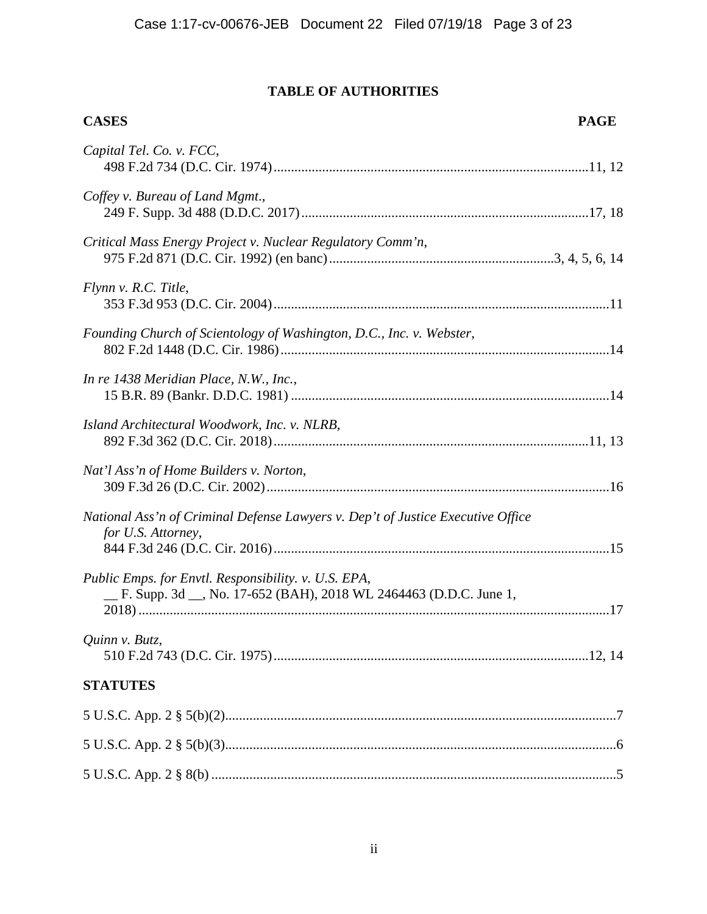## **TABLE OF AUTHORITIES**

| <b>CASES</b>                                                                                                              | <b>PAGE</b> |
|---------------------------------------------------------------------------------------------------------------------------|-------------|
| Capital Tel. Co. v. FCC,                                                                                                  |             |
| Coffey v. Bureau of Land Mgmt.,                                                                                           |             |
| Critical Mass Energy Project v. Nuclear Regulatory Comm'n,                                                                |             |
| Flynn v. R.C. Title,                                                                                                      |             |
| Founding Church of Scientology of Washington, D.C., Inc. v. Webster,                                                      |             |
| In re 1438 Meridian Place, N.W., Inc.,                                                                                    |             |
| Island Architectural Woodwork, Inc. v. NLRB,                                                                              |             |
| Nat'l Ass'n of Home Builders v. Norton,                                                                                   |             |
| National Ass'n of Criminal Defense Lawyers v. Dep't of Justice Executive Office<br>for U.S. Attorney,                     |             |
| Public Emps. for Envtl. Responsibility. v. U.S. EPA,<br>F. Supp. 3d __, No. 17-652 (BAH), 2018 WL 2464463 (D.D.C. June 1, |             |
| Quinn v. Butz,                                                                                                            |             |
| <b>STATUTES</b>                                                                                                           |             |
|                                                                                                                           |             |
|                                                                                                                           |             |
|                                                                                                                           |             |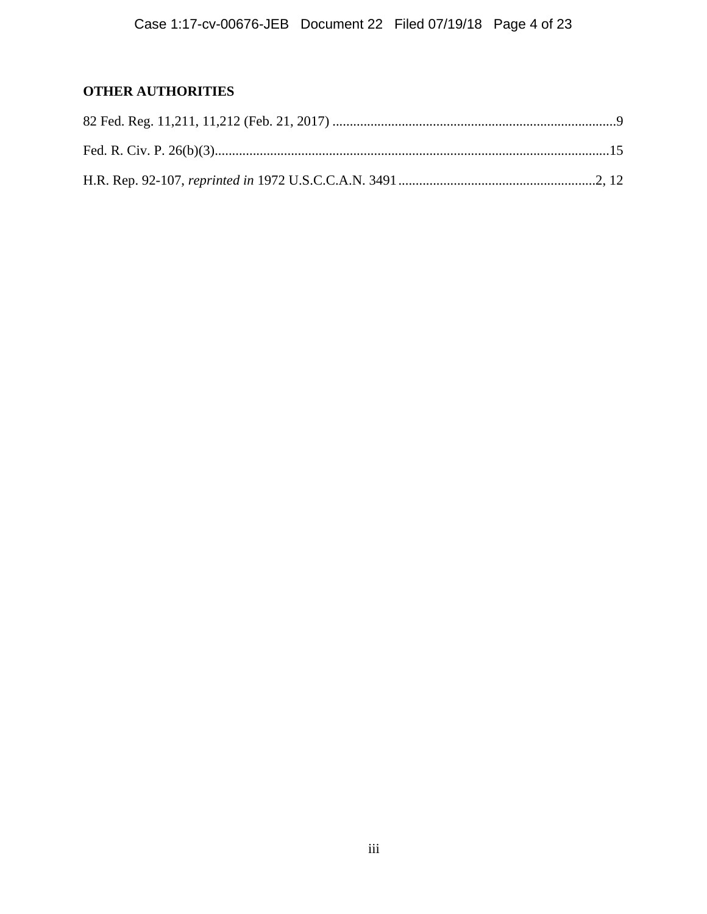## **OTHER AUTHORITIES**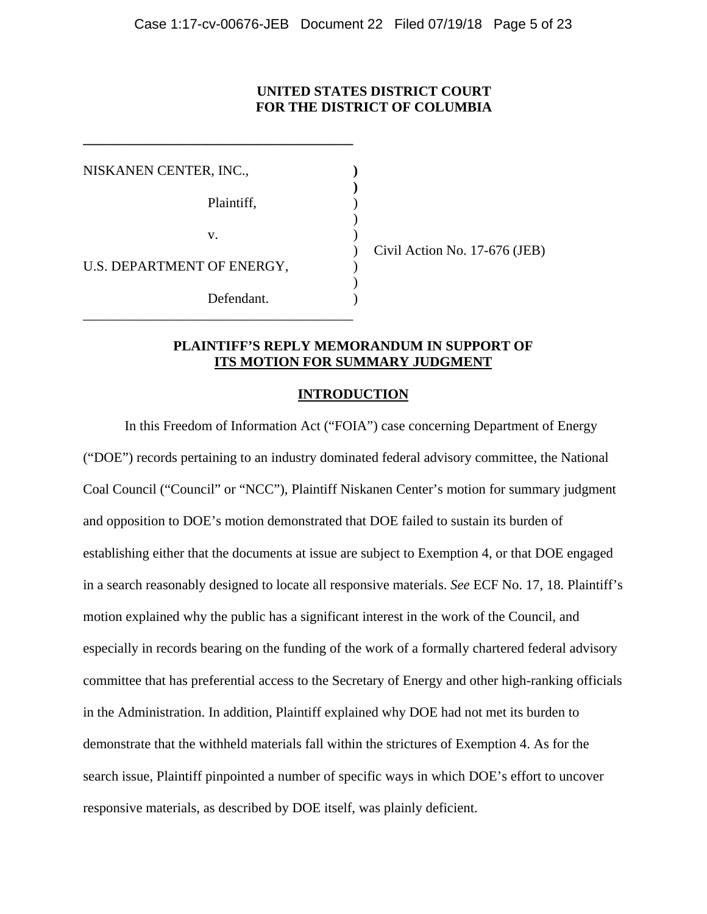## **UNITED STATES DISTRICT COURT FOR THE DISTRICT OF COLUMBIA**

| NISKANEN CENTER, INC.,     |            |  |
|----------------------------|------------|--|
|                            | Plaintiff, |  |
|                            | V.         |  |
| U.S. DEPARTMENT OF ENERGY, |            |  |
|                            | Defendant. |  |

**\_\_\_\_\_\_\_\_\_\_\_\_\_\_\_\_\_\_\_\_\_\_\_\_\_\_\_\_\_\_\_\_\_\_\_\_\_\_\_** 

) Civil Action No. 17-676 (JEB)

## **PLAINTIFF'S REPLY MEMORANDUM IN SUPPORT OF ITS MOTION FOR SUMMARY JUDGMENT**

## **INTRODUCTION**

In this Freedom of Information Act ("FOIA") case concerning Department of Energy ("DOE") records pertaining to an industry dominated federal advisory committee, the National Coal Council ("Council" or "NCC"), Plaintiff Niskanen Center's motion for summary judgment and opposition to DOE's motion demonstrated that DOE failed to sustain its burden of establishing either that the documents at issue are subject to Exemption 4, or that DOE engaged in a search reasonably designed to locate all responsive materials. *See* ECF No. 17, 18. Plaintiff's motion explained why the public has a significant interest in the work of the Council, and especially in records bearing on the funding of the work of a formally chartered federal advisory committee that has preferential access to the Secretary of Energy and other high-ranking officials in the Administration. In addition, Plaintiff explained why DOE had not met its burden to demonstrate that the withheld materials fall within the strictures of Exemption 4. As for the search issue, Plaintiff pinpointed a number of specific ways in which DOE's effort to uncover responsive materials, as described by DOE itself, was plainly deficient.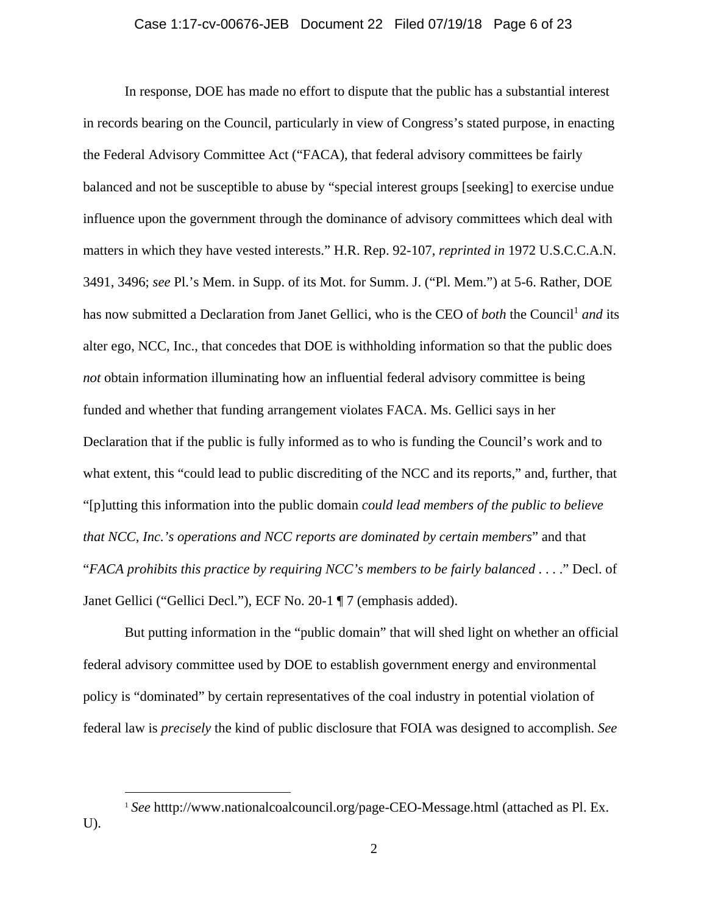In response, DOE has made no effort to dispute that the public has a substantial interest in records bearing on the Council, particularly in view of Congress's stated purpose, in enacting the Federal Advisory Committee Act ("FACA), that federal advisory committees be fairly balanced and not be susceptible to abuse by "special interest groups [seeking] to exercise undue influence upon the government through the dominance of advisory committees which deal with matters in which they have vested interests." H.R. Rep. 92-107, *reprinted in* 1972 U.S.C.C.A.N. 3491, 3496; *see* Pl.'s Mem. in Supp. of its Mot. for Summ. J. ("Pl. Mem.") at 5-6. Rather, DOE has now submitted a Declaration from Janet Gellici, who is the CEO of *both* the Council<sup>1</sup> and its alter ego, NCC, Inc., that concedes that DOE is withholding information so that the public does *not* obtain information illuminating how an influential federal advisory committee is being funded and whether that funding arrangement violates FACA. Ms. Gellici says in her Declaration that if the public is fully informed as to who is funding the Council's work and to what extent, this "could lead to public discrediting of the NCC and its reports," and, further, that "[p]utting this information into the public domain *could lead members of the public to believe that NCC, Inc.'s operations and NCC reports are dominated by certain members*" and that "*FACA prohibits this practice by requiring NCC's members to be fairly balanced* . . . ." Decl. of Janet Gellici ("Gellici Decl."), ECF No. 20-1 ¶ 7 (emphasis added).

 But putting information in the "public domain" that will shed light on whether an official federal advisory committee used by DOE to establish government energy and environmental policy is "dominated" by certain representatives of the coal industry in potential violation of federal law is *precisely* the kind of public disclosure that FOIA was designed to accomplish. *See*

<sup>&</sup>lt;sup>1</sup> See htttp://www.nationalcoalcouncil.org/page-CEO-Message.html (attached as Pl. Ex. U).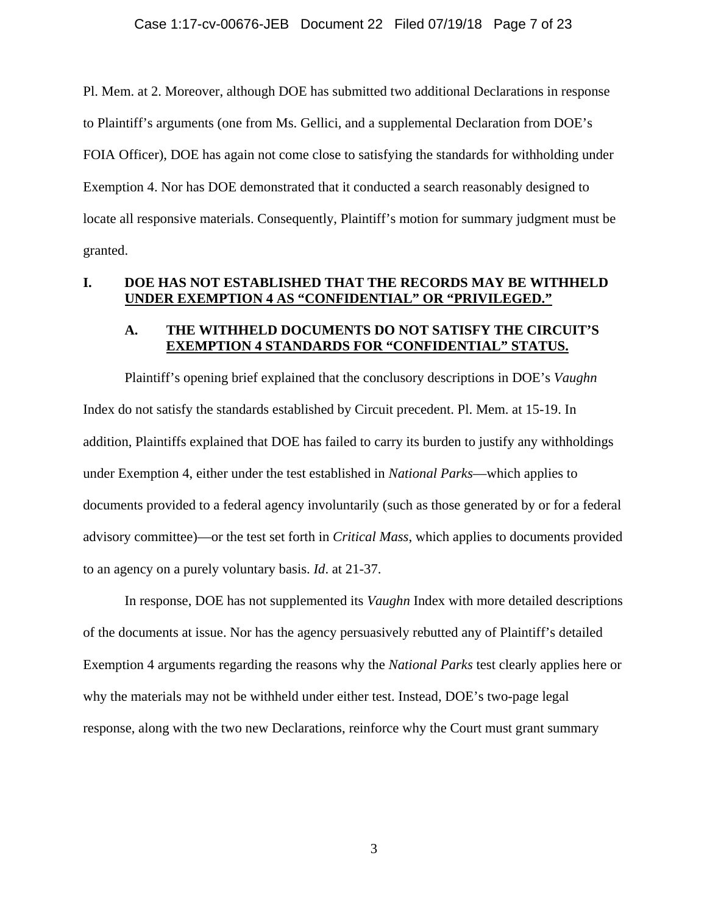Pl. Mem. at 2. Moreover, although DOE has submitted two additional Declarations in response to Plaintiff's arguments (one from Ms. Gellici, and a supplemental Declaration from DOE's FOIA Officer), DOE has again not come close to satisfying the standards for withholding under Exemption 4. Nor has DOE demonstrated that it conducted a search reasonably designed to locate all responsive materials. Consequently, Plaintiff's motion for summary judgment must be granted.

### **I. DOE HAS NOT ESTABLISHED THAT THE RECORDS MAY BE WITHHELD UNDER EXEMPTION 4 AS "CONFIDENTIAL" OR "PRIVILEGED."**

## **A. THE WITHHELD DOCUMENTS DO NOT SATISFY THE CIRCUIT'S EXEMPTION 4 STANDARDS FOR "CONFIDENTIAL" STATUS.**

 Plaintiff's opening brief explained that the conclusory descriptions in DOE's *Vaughn* Index do not satisfy the standards established by Circuit precedent. Pl. Mem. at 15-19. In addition, Plaintiffs explained that DOE has failed to carry its burden to justify any withholdings under Exemption 4, either under the test established in *National Parks*—which applies to documents provided to a federal agency involuntarily (such as those generated by or for a federal advisory committee)—or the test set forth in *Critical Mass*, which applies to documents provided to an agency on a purely voluntary basis. *Id*. at 21-37.

In response, DOE has not supplemented its *Vaughn* Index with more detailed descriptions of the documents at issue. Nor has the agency persuasively rebutted any of Plaintiff's detailed Exemption 4 arguments regarding the reasons why the *National Parks* test clearly applies here or why the materials may not be withheld under either test. Instead, DOE's two-page legal response, along with the two new Declarations, reinforce why the Court must grant summary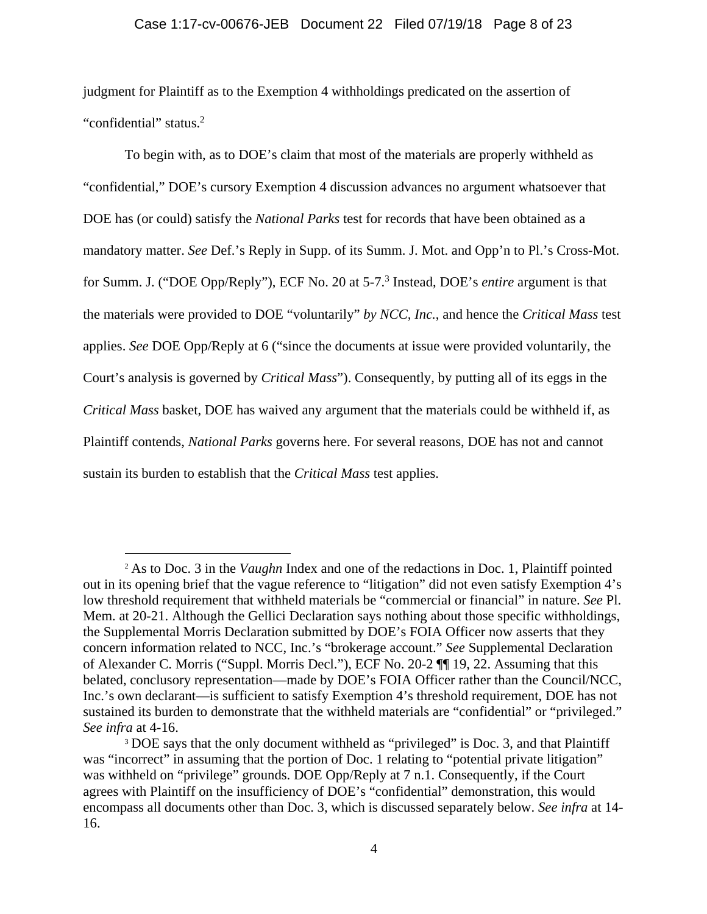#### Case 1:17-cv-00676-JEB Document 22 Filed 07/19/18 Page 8 of 23

judgment for Plaintiff as to the Exemption 4 withholdings predicated on the assertion of "confidential" status.<sup>2</sup>

 To begin with, as to DOE's claim that most of the materials are properly withheld as "confidential," DOE's cursory Exemption 4 discussion advances no argument whatsoever that DOE has (or could) satisfy the *National Parks* test for records that have been obtained as a mandatory matter. *See* Def.'s Reply in Supp. of its Summ. J. Mot. and Opp'n to Pl.'s Cross-Mot. for Summ. J. ("DOE Opp/Reply"), ECF No. 20 at 5-7.3 Instead, DOE's *entire* argument is that the materials were provided to DOE "voluntarily" *by NCC, Inc.*, and hence the *Critical Mass* test applies. *See* DOE Opp/Reply at 6 ("since the documents at issue were provided voluntarily, the Court's analysis is governed by *Critical Mass*"). Consequently, by putting all of its eggs in the *Critical Mass* basket, DOE has waived any argument that the materials could be withheld if, as Plaintiff contends, *National Parks* governs here. For several reasons, DOE has not and cannot sustain its burden to establish that the *Critical Mass* test applies.

<sup>2</sup> As to Doc. 3 in the *Vaughn* Index and one of the redactions in Doc. 1, Plaintiff pointed out in its opening brief that the vague reference to "litigation" did not even satisfy Exemption 4's low threshold requirement that withheld materials be "commercial or financial" in nature. *See* Pl. Mem. at 20-21. Although the Gellici Declaration says nothing about those specific withholdings, the Supplemental Morris Declaration submitted by DOE's FOIA Officer now asserts that they concern information related to NCC, Inc.'s "brokerage account." *See* Supplemental Declaration of Alexander C. Morris ("Suppl. Morris Decl."), ECF No. 20-2 ¶¶ 19, 22. Assuming that this belated, conclusory representation—made by DOE's FOIA Officer rather than the Council/NCC, Inc.'s own declarant—is sufficient to satisfy Exemption 4's threshold requirement, DOE has not sustained its burden to demonstrate that the withheld materials are "confidential" or "privileged." *See infra* at 4-16.

<sup>&</sup>lt;sup>3</sup> DOE says that the only document withheld as "privileged" is Doc. 3, and that Plaintiff was "incorrect" in assuming that the portion of Doc. 1 relating to "potential private litigation" was withheld on "privilege" grounds. DOE Opp/Reply at 7 n.1. Consequently, if the Court agrees with Plaintiff on the insufficiency of DOE's "confidential" demonstration, this would encompass all documents other than Doc. 3, which is discussed separately below. *See infra* at 14- 16.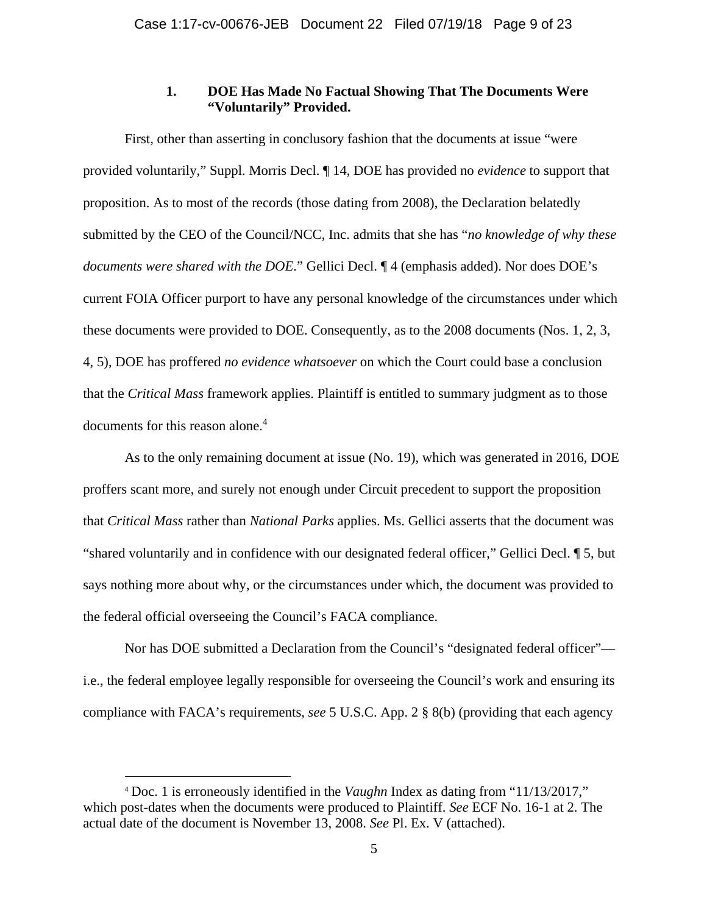### **1. DOE Has Made No Factual Showing That The Documents Were "Voluntarily" Provided.**

First, other than asserting in conclusory fashion that the documents at issue "were provided voluntarily," Suppl. Morris Decl. ¶ 14, DOE has provided no *evidence* to support that proposition. As to most of the records (those dating from 2008), the Declaration belatedly submitted by the CEO of the Council/NCC, Inc. admits that she has "*no knowledge of why these documents were shared with the DOE*." Gellici Decl. ¶ 4 (emphasis added). Nor does DOE's current FOIA Officer purport to have any personal knowledge of the circumstances under which these documents were provided to DOE. Consequently, as to the 2008 documents (Nos. 1, 2, 3, 4, 5), DOE has proffered *no evidence whatsoever* on which the Court could base a conclusion that the *Critical Mass* framework applies. Plaintiff is entitled to summary judgment as to those documents for this reason alone.<sup>4</sup>

 As to the only remaining document at issue (No. 19), which was generated in 2016, DOE proffers scant more, and surely not enough under Circuit precedent to support the proposition that *Critical Mass* rather than *National Parks* applies. Ms. Gellici asserts that the document was "shared voluntarily and in confidence with our designated federal officer," Gellici Decl. ¶ 5, but says nothing more about why, or the circumstances under which, the document was provided to the federal official overseeing the Council's FACA compliance.

Nor has DOE submitted a Declaration from the Council's "designated federal officer" i.e., the federal employee legally responsible for overseeing the Council's work and ensuring its compliance with FACA's requirements, *see* 5 U.S.C. App. 2 § 8(b) (providing that each agency

<sup>4</sup> Doc. 1 is erroneously identified in the *Vaughn* Index as dating from "11/13/2017," which post-dates when the documents were produced to Plaintiff. *See* ECF No. 16-1 at 2. The actual date of the document is November 13, 2008. *See* Pl. Ex. V (attached).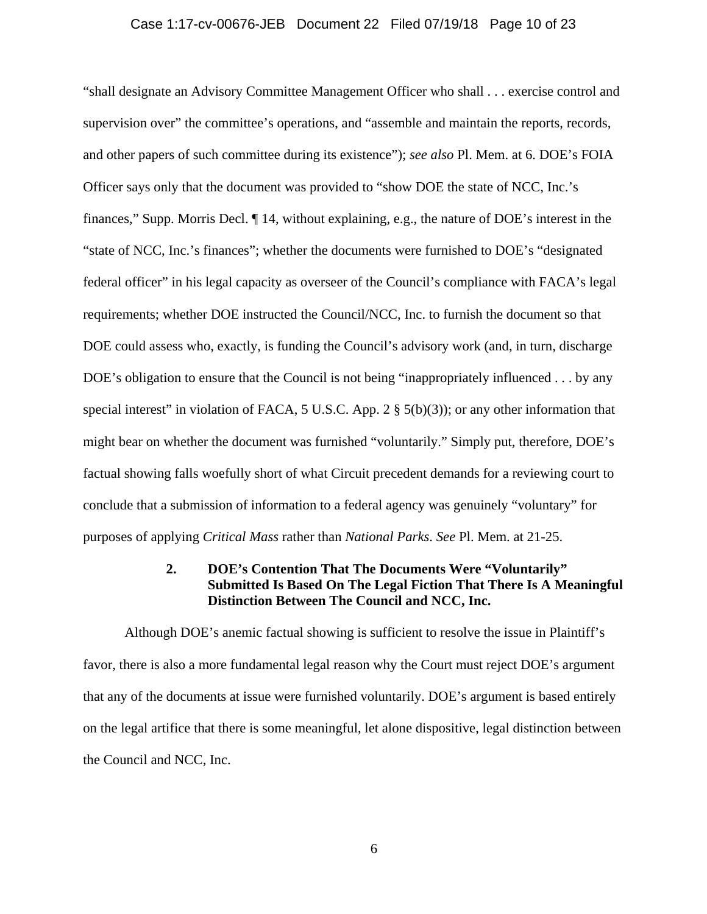#### Case 1:17-cv-00676-JEB Document 22 Filed 07/19/18 Page 10 of 23

"shall designate an Advisory Committee Management Officer who shall . . . exercise control and supervision over" the committee's operations, and "assemble and maintain the reports, records, and other papers of such committee during its existence"); *see also* Pl. Mem. at 6. DOE's FOIA Officer says only that the document was provided to "show DOE the state of NCC, Inc.'s finances," Supp. Morris Decl. ¶ 14, without explaining, e.g., the nature of DOE's interest in the "state of NCC, Inc.'s finances"; whether the documents were furnished to DOE's "designated federal officer" in his legal capacity as overseer of the Council's compliance with FACA's legal requirements; whether DOE instructed the Council/NCC, Inc. to furnish the document so that DOE could assess who, exactly, is funding the Council's advisory work (and, in turn, discharge DOE's obligation to ensure that the Council is not being "inappropriately influenced . . . by any special interest" in violation of FACA, 5 U.S.C. App. 2  $\S$  5(b)(3)); or any other information that might bear on whether the document was furnished "voluntarily." Simply put, therefore, DOE's factual showing falls woefully short of what Circuit precedent demands for a reviewing court to conclude that a submission of information to a federal agency was genuinely "voluntary" for purposes of applying *Critical Mass* rather than *National Parks*. *See* Pl. Mem. at 21-25.

## **2. DOE's Contention That The Documents Were "Voluntarily" Submitted Is Based On The Legal Fiction That There Is A Meaningful Distinction Between The Council and NCC, Inc.**

Although DOE's anemic factual showing is sufficient to resolve the issue in Plaintiff's favor, there is also a more fundamental legal reason why the Court must reject DOE's argument that any of the documents at issue were furnished voluntarily. DOE's argument is based entirely on the legal artifice that there is some meaningful, let alone dispositive, legal distinction between the Council and NCC, Inc.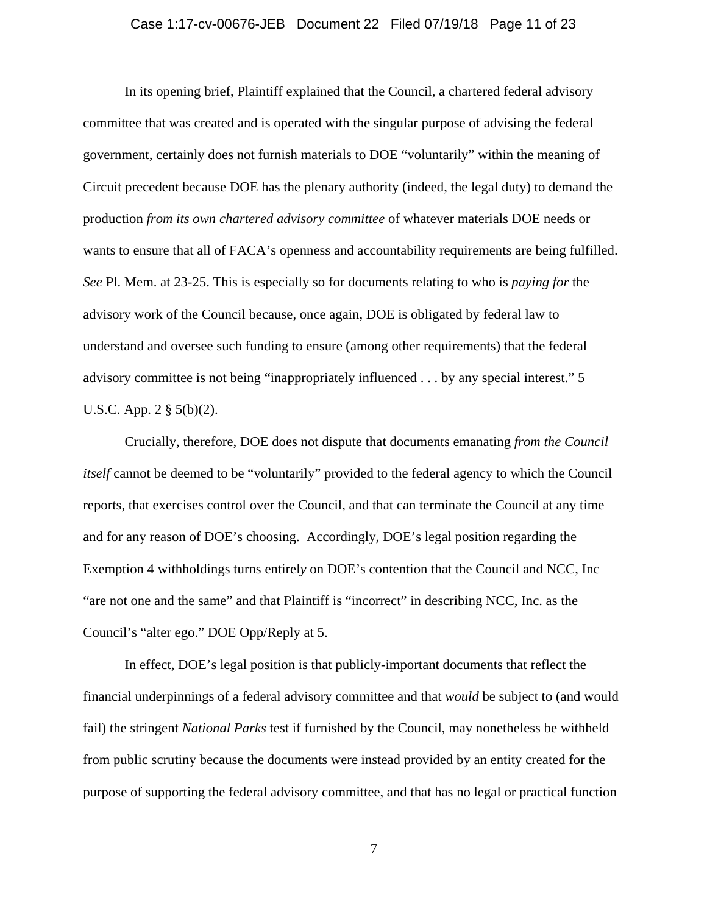#### Case 1:17-cv-00676-JEB Document 22 Filed 07/19/18 Page 11 of 23

 In its opening brief, Plaintiff explained that the Council, a chartered federal advisory committee that was created and is operated with the singular purpose of advising the federal government, certainly does not furnish materials to DOE "voluntarily" within the meaning of Circuit precedent because DOE has the plenary authority (indeed, the legal duty) to demand the production *from its own chartered advisory committee* of whatever materials DOE needs or wants to ensure that all of FACA's openness and accountability requirements are being fulfilled. *See* Pl. Mem. at 23-25. This is especially so for documents relating to who is *paying for* the advisory work of the Council because, once again, DOE is obligated by federal law to understand and oversee such funding to ensure (among other requirements) that the federal advisory committee is not being "inappropriately influenced . . . by any special interest." 5 U.S.C. App. 2 § 5(b)(2).

 Crucially, therefore, DOE does not dispute that documents emanating *from the Council itself* cannot be deemed to be "voluntarily" provided to the federal agency to which the Council reports, that exercises control over the Council, and that can terminate the Council at any time and for any reason of DOE's choosing. Accordingly, DOE's legal position regarding the Exemption 4 withholdings turns entirel*y* on DOE's contention that the Council and NCC, Inc "are not one and the same" and that Plaintiff is "incorrect" in describing NCC, Inc. as the Council's "alter ego." DOE Opp/Reply at 5.

In effect, DOE's legal position is that publicly-important documents that reflect the financial underpinnings of a federal advisory committee and that *would* be subject to (and would fail) the stringent *National Parks* test if furnished by the Council, may nonetheless be withheld from public scrutiny because the documents were instead provided by an entity created for the purpose of supporting the federal advisory committee, and that has no legal or practical function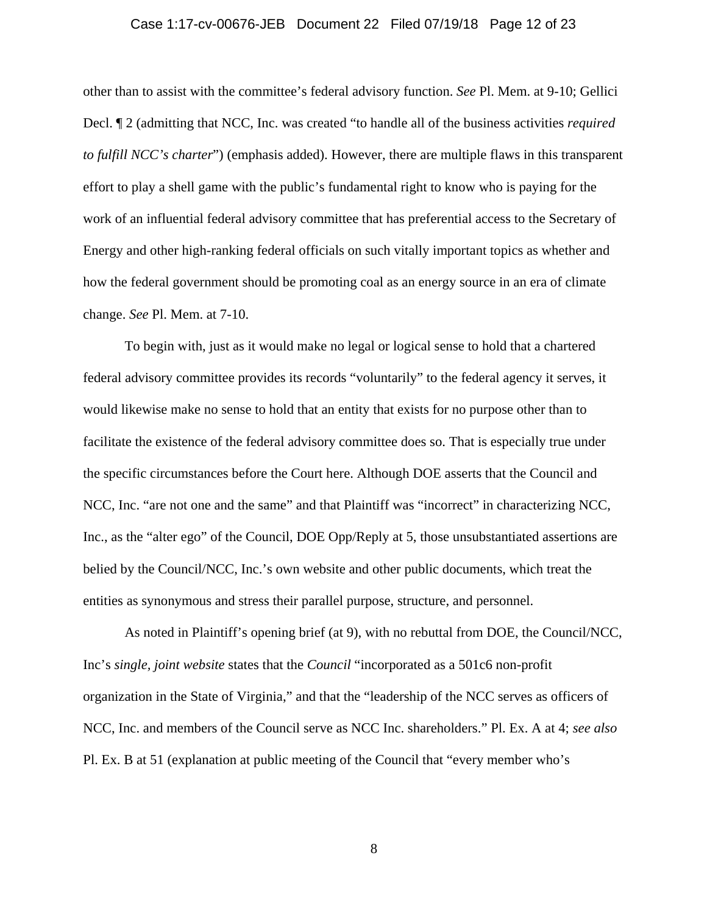## Case 1:17-cv-00676-JEB Document 22 Filed 07/19/18 Page 12 of 23

other than to assist with the committee's federal advisory function. *See* Pl. Mem. at 9-10; Gellici Decl. ¶ 2 (admitting that NCC, Inc. was created "to handle all of the business activities *required to fulfill NCC's charter*") (emphasis added). However, there are multiple flaws in this transparent effort to play a shell game with the public's fundamental right to know who is paying for the work of an influential federal advisory committee that has preferential access to the Secretary of Energy and other high-ranking federal officials on such vitally important topics as whether and how the federal government should be promoting coal as an energy source in an era of climate change. *See* Pl. Mem. at 7-10.

To begin with, just as it would make no legal or logical sense to hold that a chartered federal advisory committee provides its records "voluntarily" to the federal agency it serves, it would likewise make no sense to hold that an entity that exists for no purpose other than to facilitate the existence of the federal advisory committee does so. That is especially true under the specific circumstances before the Court here. Although DOE asserts that the Council and NCC, Inc. "are not one and the same" and that Plaintiff was "incorrect" in characterizing NCC, Inc., as the "alter ego" of the Council, DOE Opp/Reply at 5, those unsubstantiated assertions are belied by the Council/NCC, Inc.'s own website and other public documents, which treat the entities as synonymous and stress their parallel purpose, structure, and personnel.

As noted in Plaintiff's opening brief (at 9), with no rebuttal from DOE, the Council/NCC, Inc's *single, joint website* states that the *Council* "incorporated as a 501c6 non-profit organization in the State of Virginia," and that the "leadership of the NCC serves as officers of NCC, Inc. and members of the Council serve as NCC Inc. shareholders." Pl. Ex. A at 4; *see also* Pl. Ex. B at 51 (explanation at public meeting of the Council that "every member who's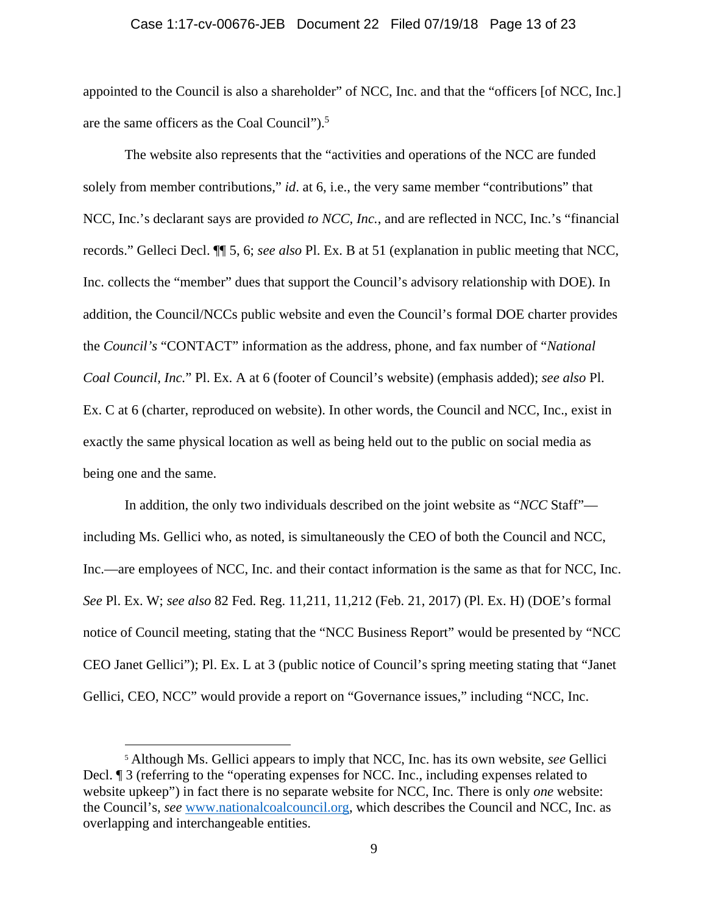#### Case 1:17-cv-00676-JEB Document 22 Filed 07/19/18 Page 13 of 23

appointed to the Council is also a shareholder" of NCC, Inc. and that the "officers [of NCC, Inc.] are the same officers as the Coal Council").<sup>5</sup>

The website also represents that the "activities and operations of the NCC are funded solely from member contributions," *id*. at 6, i.e., the very same member "contributions" that NCC, Inc.'s declarant says are provided *to NCC, Inc.*, and are reflected in NCC, Inc.'s "financial records." Gelleci Decl. ¶¶ 5, 6; *see also* Pl. Ex. B at 51 (explanation in public meeting that NCC, Inc. collects the "member" dues that support the Council's advisory relationship with DOE). In addition, the Council/NCCs public website and even the Council's formal DOE charter provides the *Council's* "CONTACT" information as the address, phone, and fax number of "*National Coal Council, Inc.*" Pl. Ex. A at 6 (footer of Council's website) (emphasis added); *see also* Pl. Ex. C at 6 (charter, reproduced on website). In other words, the Council and NCC, Inc., exist in exactly the same physical location as well as being held out to the public on social media as being one and the same.

In addition, the only two individuals described on the joint website as "*NCC* Staff" including Ms. Gellici who, as noted, is simultaneously the CEO of both the Council and NCC, Inc.—are employees of NCC, Inc. and their contact information is the same as that for NCC, Inc. *See* Pl. Ex. W; *see also* 82 Fed. Reg. 11,211, 11,212 (Feb. 21, 2017) (Pl. Ex. H) (DOE's formal notice of Council meeting, stating that the "NCC Business Report" would be presented by "NCC CEO Janet Gellici"); Pl. Ex. L at 3 (public notice of Council's spring meeting stating that "Janet Gellici, CEO, NCC" would provide a report on "Governance issues," including "NCC, Inc.

<sup>5</sup> Although Ms. Gellici appears to imply that NCC, Inc. has its own website, *see* Gellici Decl. ¶ 3 (referring to the "operating expenses for NCC. Inc., including expenses related to website upkeep") in fact there is no separate website for NCC, Inc. There is only *one* website: the Council's, *see* www.nationalcoalcouncil.org, which describes the Council and NCC, Inc. as overlapping and interchangeable entities.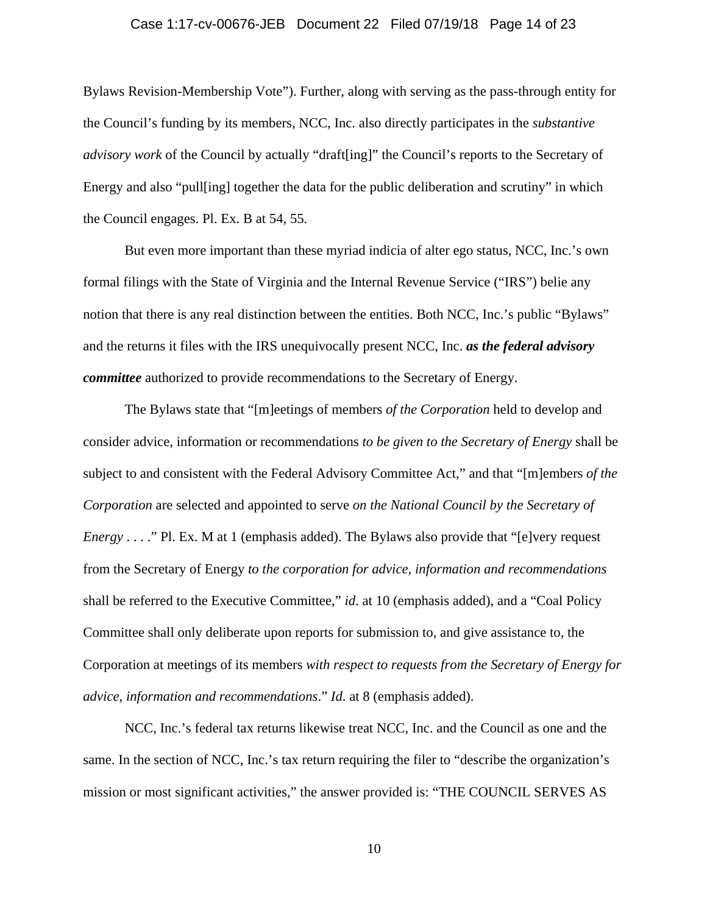#### Case 1:17-cv-00676-JEB Document 22 Filed 07/19/18 Page 14 of 23

Bylaws Revision-Membership Vote"). Further, along with serving as the pass-through entity for the Council's funding by its members, NCC, Inc. also directly participates in the *substantive advisory work* of the Council by actually "draft[ing]" the Council's reports to the Secretary of Energy and also "pull[ing] together the data for the public deliberation and scrutiny" in which the Council engages. Pl. Ex. B at 54, 55.

But even more important than these myriad indicia of alter ego status, NCC, Inc.'s own formal filings with the State of Virginia and the Internal Revenue Service ("IRS") belie any notion that there is any real distinction between the entities. Both NCC, Inc.'s public "Bylaws" and the returns it files with the IRS unequivocally present NCC, Inc. *as the federal advisory committee* authorized to provide recommendations to the Secretary of Energy.

The Bylaws state that "[m]eetings of members *of the Corporation* held to develop and consider advice, information or recommendations *to be given to the Secretary of Energy* shall be subject to and consistent with the Federal Advisory Committee Act," and that "[m]embers *of the Corporation* are selected and appointed to serve *on the National Council by the Secretary of Energy* . . . ." Pl. Ex. M at 1 (emphasis added). The Bylaws also provide that "[e]very request from the Secretary of Energy *to the corporation for advice, information and recommendations* shall be referred to the Executive Committee," *id*. at 10 (emphasis added), and a "Coal Policy Committee shall only deliberate upon reports for submission to, and give assistance to, the Corporation at meetings of its members *with respect to requests from the Secretary of Energy for advice, information and recommendations*." *Id*. at 8 (emphasis added).

NCC, Inc.'s federal tax returns likewise treat NCC, Inc. and the Council as one and the same. In the section of NCC, Inc.'s tax return requiring the filer to "describe the organization's mission or most significant activities," the answer provided is: "THE COUNCIL SERVES AS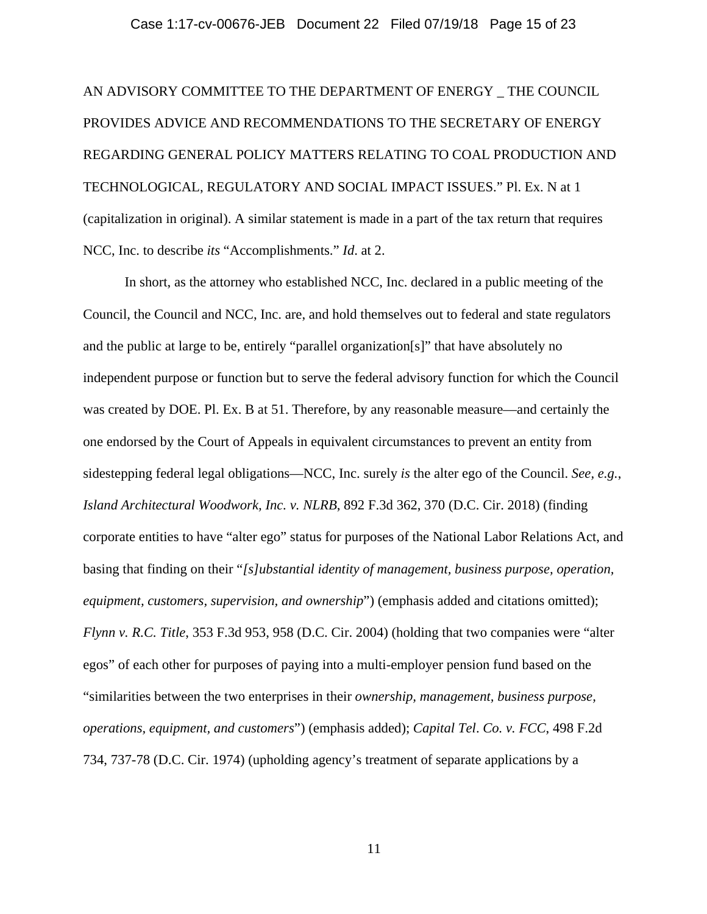#### Case 1:17-cv-00676-JEB Document 22 Filed 07/19/18 Page 15 of 23

AN ADVISORY COMMITTEE TO THE DEPARTMENT OF ENERGY \_ THE COUNCIL PROVIDES ADVICE AND RECOMMENDATIONS TO THE SECRETARY OF ENERGY REGARDING GENERAL POLICY MATTERS RELATING TO COAL PRODUCTION AND TECHNOLOGICAL, REGULATORY AND SOCIAL IMPACT ISSUES." Pl. Ex. N at 1 (capitalization in original). A similar statement is made in a part of the tax return that requires NCC, Inc. to describe *its* "Accomplishments." *Id*. at 2.

 In short, as the attorney who established NCC, Inc. declared in a public meeting of the Council, the Council and NCC, Inc. are, and hold themselves out to federal and state regulators and the public at large to be, entirely "parallel organization[s]" that have absolutely no independent purpose or function but to serve the federal advisory function for which the Council was created by DOE. Pl. Ex. B at 51. Therefore, by any reasonable measure—and certainly the one endorsed by the Court of Appeals in equivalent circumstances to prevent an entity from sidestepping federal legal obligations—NCC, Inc. surely *is* the alter ego of the Council. *See, e.g.*, *Island Architectural Woodwork, Inc. v. NLRB*, 892 F.3d 362, 370 (D.C. Cir. 2018) (finding corporate entities to have "alter ego" status for purposes of the National Labor Relations Act, and basing that finding on their "*[s]ubstantial identity of management, business purpose, operation, equipment, customers, supervision, and ownership*") (emphasis added and citations omitted); *Flynn v. R.C. Title*, 353 F.3d 953, 958 (D.C. Cir. 2004) (holding that two companies were "alter egos" of each other for purposes of paying into a multi-employer pension fund based on the "similarities between the two enterprises in their *ownership, management, business purpose, operations, equipment, and customers*") (emphasis added); *Capital Tel*. *Co. v. FCC*, 498 F.2d 734, 737-78 (D.C. Cir. 1974) (upholding agency's treatment of separate applications by a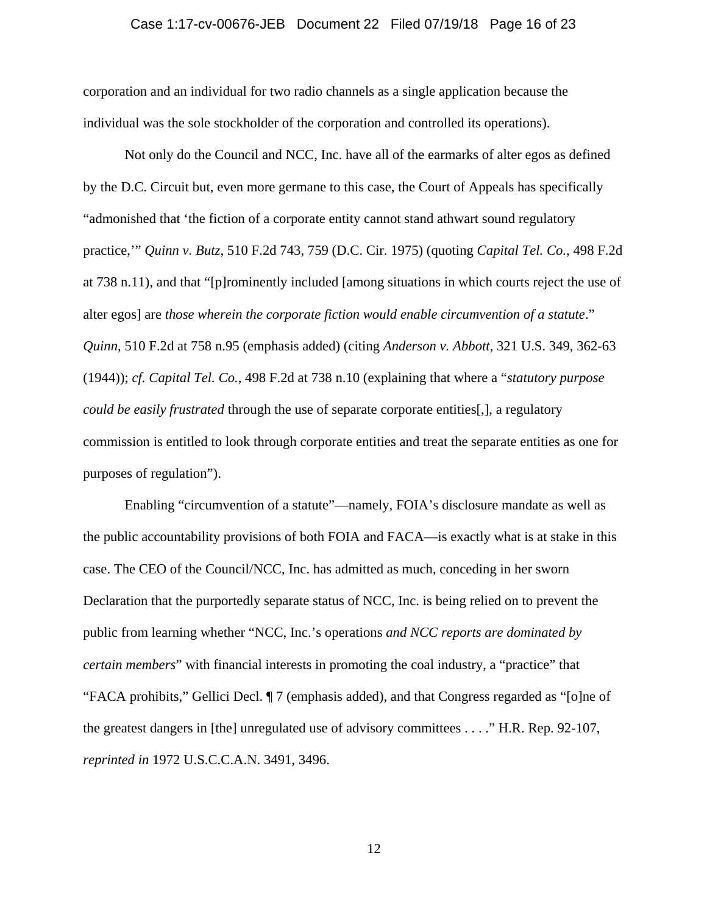#### Case 1:17-cv-00676-JEB Document 22 Filed 07/19/18 Page 16 of 23

corporation and an individual for two radio channels as a single application because the individual was the sole stockholder of the corporation and controlled its operations).

 Not only do the Council and NCC, Inc. have all of the earmarks of alter egos as defined by the D.C. Circuit but, even more germane to this case, the Court of Appeals has specifically "admonished that 'the fiction of a corporate entity cannot stand athwart sound regulatory practice,'" *Quinn v. Butz*, 510 F.2d 743, 759 (D.C. Cir. 1975) (quoting *Capital Tel. Co.*, 498 F.2d at 738 n.11), and that "[p]rominently included [among situations in which courts reject the use of alter egos] are *those wherein the corporate fiction would enable circumvention of a statute*." *Quinn*, 510 F.2d at 758 n.95 (emphasis added) (citing *Anderson v. Abbott*, 321 U.S. 349, 362-63 (1944)); *cf. Capital Tel. Co.*, 498 F.2d at 738 n.10 (explaining that where a "*statutory purpose could be easily frustrated* through the use of separate corporate entities[,], a regulatory commission is entitled to look through corporate entities and treat the separate entities as one for purposes of regulation").

 Enabling "circumvention of a statute"—namely, FOIA's disclosure mandate as well as the public accountability provisions of both FOIA and FACA—is exactly what is at stake in this case. The CEO of the Council/NCC, Inc. has admitted as much, conceding in her sworn Declaration that the purportedly separate status of NCC, Inc. is being relied on to prevent the public from learning whether "NCC, Inc.'s operations *and NCC reports are dominated by certain members*" with financial interests in promoting the coal industry, a "practice" that "FACA prohibits," Gellici Decl. ¶ 7 (emphasis added), and that Congress regarded as "[o]ne of the greatest dangers in [the] unregulated use of advisory committees . . . ." H.R. Rep. 92-107, *reprinted in* 1972 U.S.C.C.A.N. 3491, 3496.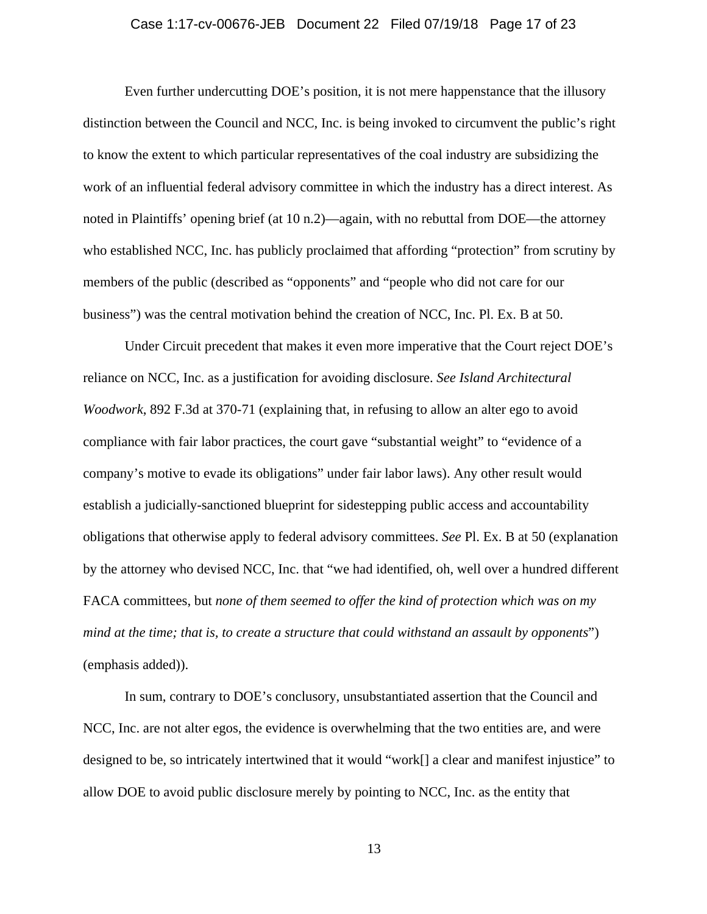#### Case 1:17-cv-00676-JEB Document 22 Filed 07/19/18 Page 17 of 23

 Even further undercutting DOE's position, it is not mere happenstance that the illusory distinction between the Council and NCC, Inc. is being invoked to circumvent the public's right to know the extent to which particular representatives of the coal industry are subsidizing the work of an influential federal advisory committee in which the industry has a direct interest. As noted in Plaintiffs' opening brief (at 10 n.2)—again, with no rebuttal from DOE—the attorney who established NCC, Inc. has publicly proclaimed that affording "protection" from scrutiny by members of the public (described as "opponents" and "people who did not care for our business") was the central motivation behind the creation of NCC, Inc. Pl. Ex. B at 50.

Under Circuit precedent that makes it even more imperative that the Court reject DOE's reliance on NCC, Inc. as a justification for avoiding disclosure. *See Island Architectural Woodwork*, 892 F.3d at 370-71 (explaining that, in refusing to allow an alter ego to avoid compliance with fair labor practices, the court gave "substantial weight" to "evidence of a company's motive to evade its obligations" under fair labor laws). Any other result would establish a judicially-sanctioned blueprint for sidestepping public access and accountability obligations that otherwise apply to federal advisory committees. *See* Pl. Ex. B at 50 (explanation by the attorney who devised NCC, Inc. that "we had identified, oh, well over a hundred different FACA committees, but *none of them seemed to offer the kind of protection which was on my mind at the time; that is, to create a structure that could withstand an assault by opponents*") (emphasis added)).

 In sum, contrary to DOE's conclusory, unsubstantiated assertion that the Council and NCC, Inc. are not alter egos, the evidence is overwhelming that the two entities are, and were designed to be, so intricately intertwined that it would "work[] a clear and manifest injustice" to allow DOE to avoid public disclosure merely by pointing to NCC, Inc. as the entity that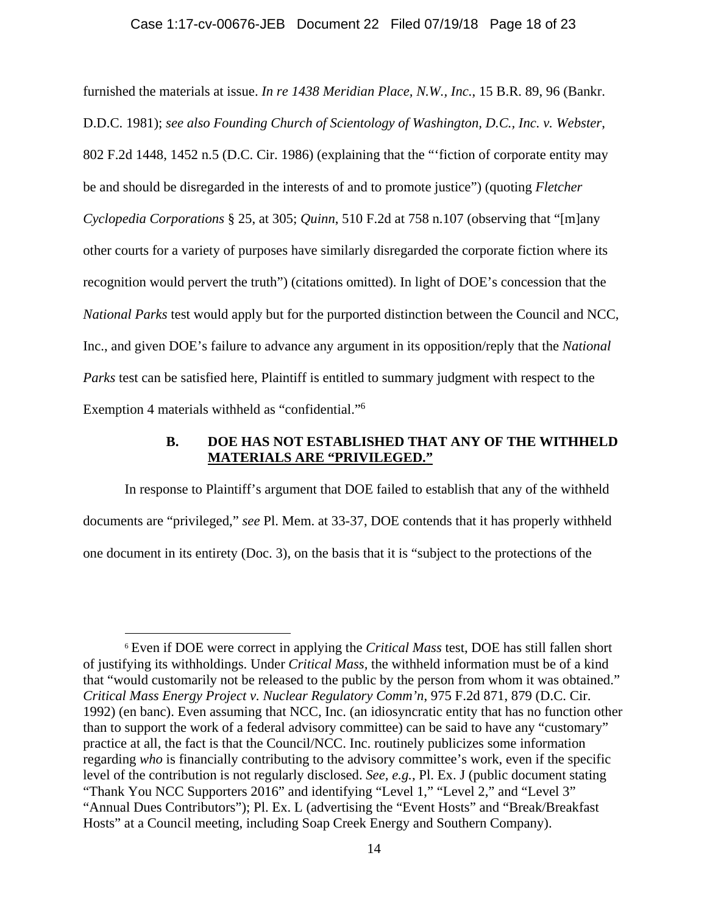#### Case 1:17-cv-00676-JEB Document 22 Filed 07/19/18 Page 18 of 23

furnished the materials at issue. *In re 1438 Meridian Place, N.W., Inc.*, 15 B.R. 89, 96 (Bankr. D.D.C. 1981); *see also Founding Church of Scientology of Washington, D.C., Inc. v. Webster*, 802 F.2d 1448, 1452 n.5 (D.C. Cir. 1986) (explaining that the "'fiction of corporate entity may be and should be disregarded in the interests of and to promote justice") (quoting *Fletcher Cyclopedia Corporations* § 25, at 305; *Quinn*, 510 F.2d at 758 n.107 (observing that "[m]any other courts for a variety of purposes have similarly disregarded the corporate fiction where its recognition would pervert the truth") (citations omitted). In light of DOE's concession that the *National Parks* test would apply but for the purported distinction between the Council and NCC, Inc., and given DOE's failure to advance any argument in its opposition/reply that the *National Parks* test can be satisfied here, Plaintiff is entitled to summary judgment with respect to the Exemption 4 materials withheld as "confidential."6

## **B. DOE HAS NOT ESTABLISHED THAT ANY OF THE WITHHELD MATERIALS ARE "PRIVILEGED."**

In response to Plaintiff's argument that DOE failed to establish that any of the withheld documents are "privileged," *see* Pl. Mem. at 33-37, DOE contends that it has properly withheld one document in its entirety (Doc. 3), on the basis that it is "subject to the protections of the

<sup>6</sup> Even if DOE were correct in applying the *Critical Mass* test, DOE has still fallen short of justifying its withholdings. Under *Critical Mass,* the withheld information must be of a kind that "would customarily not be released to the public by the person from whom it was obtained." *Critical Mass Energy Project v. Nuclear Regulatory Comm'n*, 975 F.2d 871, 879 (D.C. Cir. 1992) (en banc). Even assuming that NCC, Inc. (an idiosyncratic entity that has no function other than to support the work of a federal advisory committee) can be said to have any "customary" practice at all, the fact is that the Council/NCC. Inc. routinely publicizes some information regarding *who* is financially contributing to the advisory committee's work, even if the specific level of the contribution is not regularly disclosed. *See, e.g.*, Pl. Ex. J (public document stating "Thank You NCC Supporters 2016" and identifying "Level 1," "Level 2," and "Level 3" "Annual Dues Contributors"); Pl. Ex. L (advertising the "Event Hosts" and "Break/Breakfast Hosts" at a Council meeting, including Soap Creek Energy and Southern Company).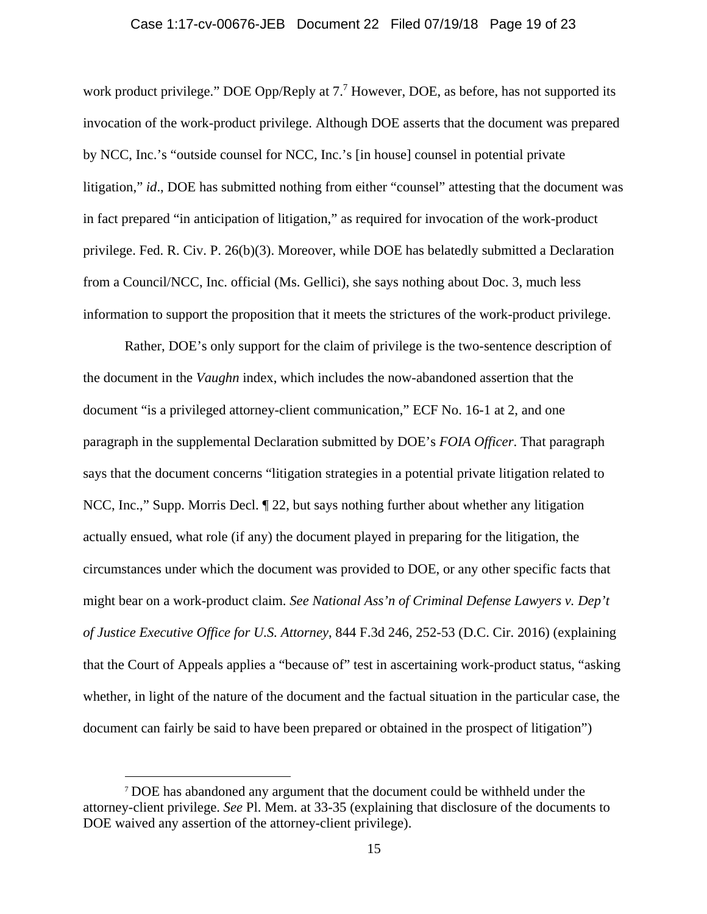#### Case 1:17-cv-00676-JEB Document 22 Filed 07/19/18 Page 19 of 23

work product privilege." DOE Opp/Reply at  $7<sup>7</sup>$  However, DOE, as before, has not supported its invocation of the work-product privilege. Although DOE asserts that the document was prepared by NCC, Inc.'s "outside counsel for NCC, Inc.'s [in house] counsel in potential private litigation," *id.*, DOE has submitted nothing from either "counsel" attesting that the document was in fact prepared "in anticipation of litigation," as required for invocation of the work-product privilege. Fed. R. Civ. P. 26(b)(3). Moreover, while DOE has belatedly submitted a Declaration from a Council/NCC, Inc. official (Ms. Gellici), she says nothing about Doc. 3, much less information to support the proposition that it meets the strictures of the work-product privilege.

 Rather, DOE's only support for the claim of privilege is the two-sentence description of the document in the *Vaughn* index, which includes the now-abandoned assertion that the document "is a privileged attorney-client communication," ECF No. 16-1 at 2, and one paragraph in the supplemental Declaration submitted by DOE's *FOIA Officer*. That paragraph says that the document concerns "litigation strategies in a potential private litigation related to NCC, Inc.," Supp. Morris Decl.  $\llbracket 22$ , but says nothing further about whether any litigation actually ensued, what role (if any) the document played in preparing for the litigation, the circumstances under which the document was provided to DOE, or any other specific facts that might bear on a work-product claim. *See National Ass'n of Criminal Defense Lawyers v. Dep't of Justice Executive Office for U.S. Attorney*, 844 F.3d 246, 252-53 (D.C. Cir. 2016) (explaining that the Court of Appeals applies a "because of" test in ascertaining work-product status, "asking whether, in light of the nature of the document and the factual situation in the particular case, the document can fairly be said to have been prepared or obtained in the prospect of litigation")

<sup>7</sup> DOE has abandoned any argument that the document could be withheld under the attorney-client privilege. *See* Pl. Mem. at 33-35 (explaining that disclosure of the documents to DOE waived any assertion of the attorney-client privilege).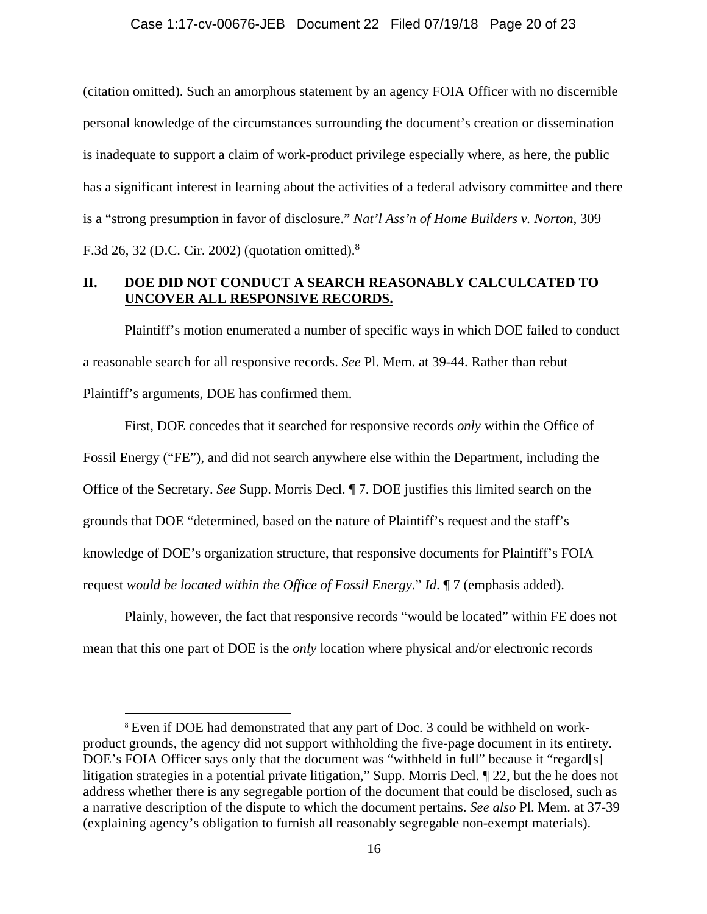(citation omitted). Such an amorphous statement by an agency FOIA Officer with no discernible personal knowledge of the circumstances surrounding the document's creation or dissemination is inadequate to support a claim of work-product privilege especially where, as here, the public has a significant interest in learning about the activities of a federal advisory committee and there is a "strong presumption in favor of disclosure." *Nat'l Ass'n of Home Builders v. Norton*, 309 F.3d 26, 32 (D.C. Cir. 2002) (quotation omitted).8

## **II. DOE DID NOT CONDUCT A SEARCH REASONABLY CALCULCATED TO UNCOVER ALL RESPONSIVE RECORDS.**

Plaintiff's motion enumerated a number of specific ways in which DOE failed to conduct a reasonable search for all responsive records. *See* Pl. Mem. at 39-44. Rather than rebut Plaintiff's arguments, DOE has confirmed them.

 First, DOE concedes that it searched for responsive records *only* within the Office of Fossil Energy ("FE"), and did not search anywhere else within the Department, including the Office of the Secretary. *See* Supp. Morris Decl. ¶ 7. DOE justifies this limited search on the grounds that DOE "determined, based on the nature of Plaintiff's request and the staff's knowledge of DOE's organization structure, that responsive documents for Plaintiff's FOIA request *would be located within the Office of Fossil Energy*." *Id*. ¶ 7 (emphasis added).

Plainly, however, the fact that responsive records "would be located" within FE does not mean that this one part of DOE is the *only* location where physical and/or electronic records

<sup>8</sup> Even if DOE had demonstrated that any part of Doc. 3 could be withheld on workproduct grounds, the agency did not support withholding the five-page document in its entirety. DOE's FOIA Officer says only that the document was "withheld in full" because it "regard[s] litigation strategies in a potential private litigation," Supp. Morris Decl. ¶ 22, but the he does not address whether there is any segregable portion of the document that could be disclosed, such as a narrative description of the dispute to which the document pertains. *See also* Pl. Mem. at 37-39 (explaining agency's obligation to furnish all reasonably segregable non-exempt materials).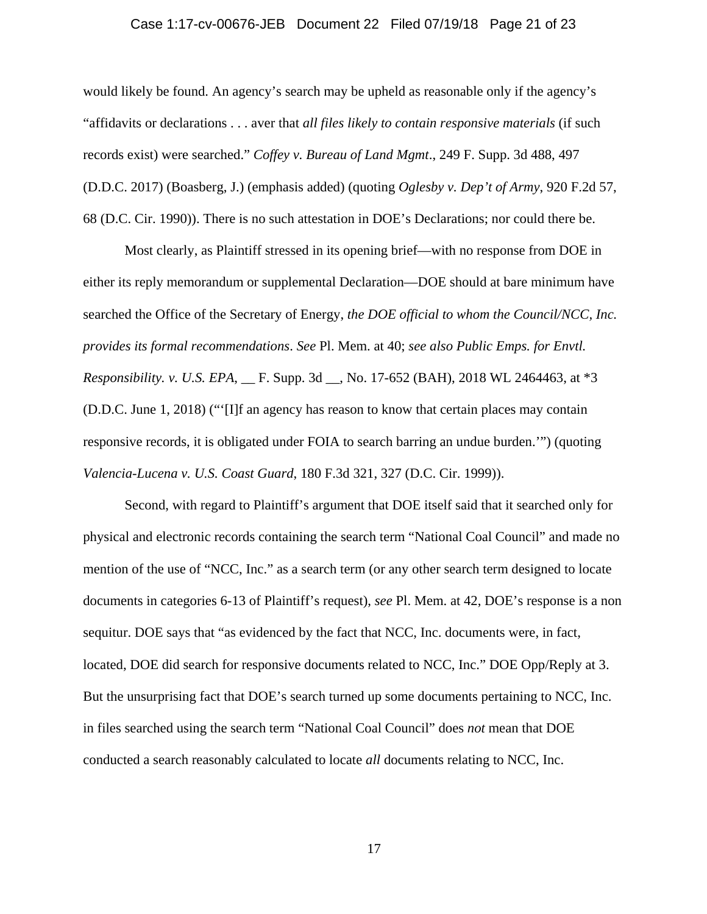#### Case 1:17-cv-00676-JEB Document 22 Filed 07/19/18 Page 21 of 23

would likely be found. An agency's search may be upheld as reasonable only if the agency's "affidavits or declarations . . . aver that *all files likely to contain responsive materials* (if such records exist) were searched." *Coffey v. Bureau of Land Mgmt*., 249 F. Supp. 3d 488, 497 (D.D.C. 2017) (Boasberg, J.) (emphasis added) (quoting *Oglesby v. Dep't of Army*, 920 F.2d 57, 68 (D.C. Cir. 1990)). There is no such attestation in DOE's Declarations; nor could there be.

 Most clearly, as Plaintiff stressed in its opening brief—with no response from DOE in either its reply memorandum or supplemental Declaration—DOE should at bare minimum have searched the Office of the Secretary of Energy, *the DOE official to whom the Council/NCC, Inc. provides its formal recommendations*. *See* Pl. Mem. at 40; *see also Public Emps. for Envtl. Responsibility. v. U.S. EPA*, \_\_ F. Supp. 3d \_\_, No. 17-652 (BAH), 2018 WL 2464463, at \*3 (D.D.C. June 1, 2018) ("'[I]f an agency has reason to know that certain places may contain responsive records, it is obligated under FOIA to search barring an undue burden.'") (quoting *Valencia-Lucena v. U.S. Coast Guard*, 180 F.3d 321, 327 (D.C. Cir. 1999)).

 Second, with regard to Plaintiff's argument that DOE itself said that it searched only for physical and electronic records containing the search term "National Coal Council" and made no mention of the use of "NCC, Inc." as a search term (or any other search term designed to locate documents in categories 6-13 of Plaintiff's request), *see* Pl. Mem. at 42, DOE's response is a non sequitur. DOE says that "as evidenced by the fact that NCC, Inc. documents were, in fact, located, DOE did search for responsive documents related to NCC, Inc." DOE Opp/Reply at 3. But the unsurprising fact that DOE's search turned up some documents pertaining to NCC, Inc. in files searched using the search term "National Coal Council" does *not* mean that DOE conducted a search reasonably calculated to locate *all* documents relating to NCC, Inc.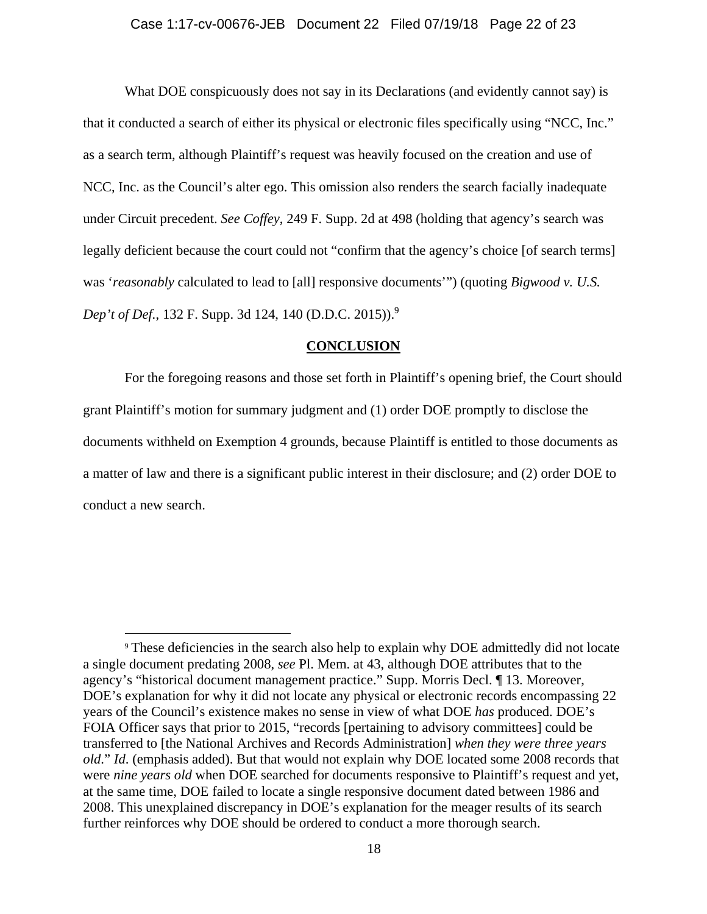#### Case 1:17-cv-00676-JEB Document 22 Filed 07/19/18 Page 22 of 23

What DOE conspicuously does not say in its Declarations (and evidently cannot say) is that it conducted a search of either its physical or electronic files specifically using "NCC, Inc." as a search term, although Plaintiff's request was heavily focused on the creation and use of NCC, Inc. as the Council's alter ego. This omission also renders the search facially inadequate under Circuit precedent. *See Coffey*, 249 F. Supp. 2d at 498 (holding that agency's search was legally deficient because the court could not "confirm that the agency's choice [of search terms] was '*reasonably* calculated to lead to [all] responsive documents'") (quoting *Bigwood v. U.S. Dep't of Def.*, 132 F. Supp. 3d 124, 140 (D.D.C. 2015)).<sup>9</sup>

#### **CONCLUSION**

 For the foregoing reasons and those set forth in Plaintiff's opening brief, the Court should grant Plaintiff's motion for summary judgment and (1) order DOE promptly to disclose the documents withheld on Exemption 4 grounds, because Plaintiff is entitled to those documents as a matter of law and there is a significant public interest in their disclosure; and (2) order DOE to conduct a new search.

<sup>9</sup> These deficiencies in the search also help to explain why DOE admittedly did not locate a single document predating 2008, *see* Pl. Mem. at 43, although DOE attributes that to the agency's "historical document management practice." Supp. Morris Decl. ¶ 13. Moreover, DOE's explanation for why it did not locate any physical or electronic records encompassing 22 years of the Council's existence makes no sense in view of what DOE *has* produced. DOE's FOIA Officer says that prior to 2015, "records [pertaining to advisory committees] could be transferred to [the National Archives and Records Administration] *when they were three years old*." *Id*. (emphasis added). But that would not explain why DOE located some 2008 records that were *nine years old* when DOE searched for documents responsive to Plaintiff's request and yet, at the same time, DOE failed to locate a single responsive document dated between 1986 and 2008. This unexplained discrepancy in DOE's explanation for the meager results of its search further reinforces why DOE should be ordered to conduct a more thorough search.